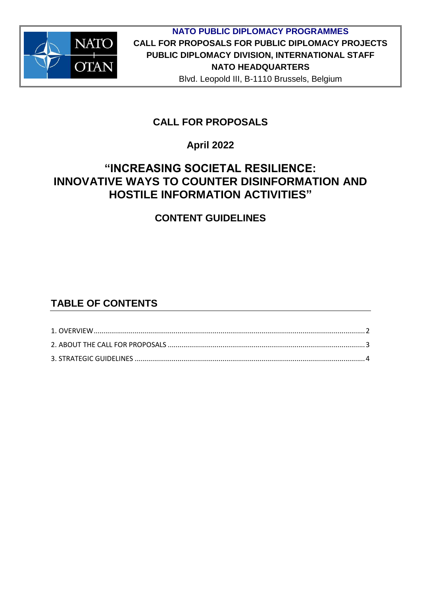

## **CALL FOR PROPOSALS**

### **April 2022**

# **"INCREASING SOCIETAL RESILIENCE: INNOVATIVE WAYS TO COUNTER DISINFORMATION AND HOSTILE INFORMATION ACTIVITIES"**

## **CONTENT GUIDELINES**

## **TABLE OF CONTENTS**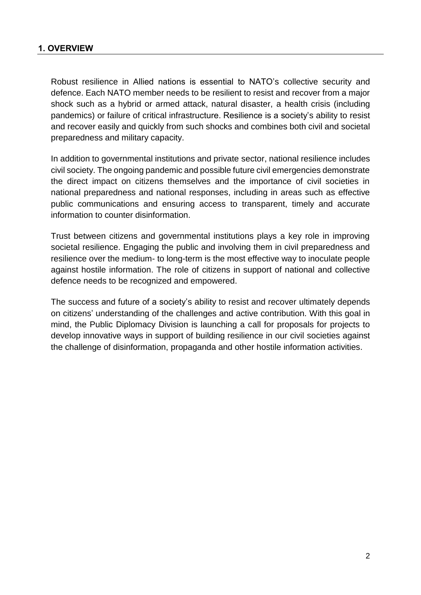#### <span id="page-1-0"></span>**1. OVERVIEW**

Robust resilience in Allied nations is essential to NATO's collective security and defence. Each NATO member needs to be resilient to resist and recover from a major shock such as a hybrid or armed attack, natural disaster, a health crisis (including pandemics) or failure of critical infrastructure. Resilience is a society's ability to resist and recover easily and quickly from such shocks and combines both civil and societal preparedness and military capacity.

In addition to governmental institutions and private sector, national resilience includes civil society. The ongoing pandemic and possible future civil emergencies demonstrate the direct impact on citizens themselves and the importance of civil societies in national preparedness and national responses, including in areas such as effective public communications and ensuring access to transparent, timely and accurate information to counter disinformation.

Trust between citizens and governmental institutions plays a key role in improving societal resilience. Engaging the public and involving them in civil preparedness and resilience over the medium- to long-term is the most effective way to inoculate people against hostile information. The role of citizens in support of national and collective defence needs to be recognized and empowered.

The success and future of a society's ability to resist and recover ultimately depends on citizens' understanding of the challenges and active contribution. With this goal in mind, the Public Diplomacy Division is launching a call for proposals for projects to develop innovative ways in support of building resilience in our civil societies against the challenge of disinformation, propaganda and other hostile information activities.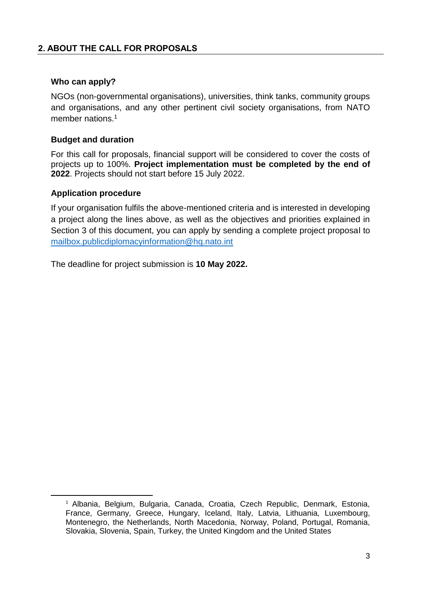#### <span id="page-2-0"></span>**Who can apply?**

NGOs (non-governmental organisations), universities, think tanks, community groups and organisations, and any other pertinent civil society organisations, from NATO member nations.<sup>1</sup>

#### **Budget and duration**

For this call for proposals, financial support will be considered to cover the costs of projects up to 100%. **Project implementation must be completed by the end of 2022**. Projects should not start before 15 July 2022.

#### **Application procedure**

**.** 

If your organisation fulfils the above-mentioned criteria and is interested in developing a project along the lines above, as well as the objectives and priorities explained in Section 3 of this document, you can apply by sending a complete project proposal to [mailbox.publicdiplomacyinformation@hq.nato.int](mailto:mailbox.publicdiplomacyinformation@hq.nato.int)

The deadline for project submission is **10 May 2022.** 

<sup>1</sup> Albania, Belgium, Bulgaria, Canada, Croatia, Czech Republic, Denmark, Estonia, France, Germany, Greece, Hungary, Iceland, Italy, Latvia, Lithuania, Luxembourg, Montenegro, the Netherlands, North Macedonia, Norway, Poland, Portugal, Romania, Slovakia, Slovenia, Spain, Turkey, the United Kingdom and the United States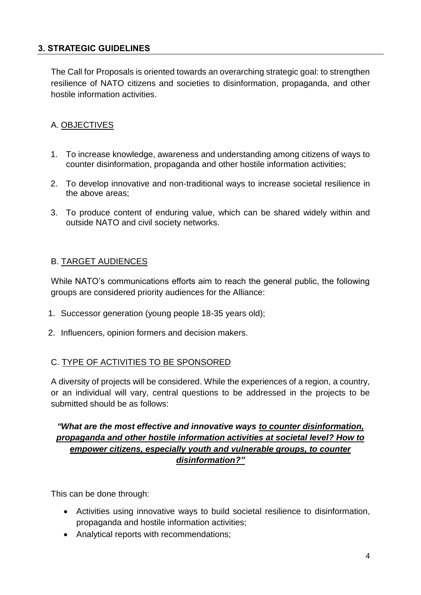#### <span id="page-3-0"></span>**3. STRATEGIC GUIDELINES**

The Call for Proposals is oriented towards an overarching strategic goal: to strengthen resilience of NATO citizens and societies to disinformation, propaganda, and other hostile information activities.

### A. OBJECTIVES

- 1. To increase knowledge, awareness and understanding among citizens of ways to counter disinformation, propaganda and other hostile information activities;
- 2. To develop innovative and non-traditional ways to increase societal resilience in the above areas;
- 3. To produce content of enduring value, which can be shared widely within and outside NATO and civil society networks.

#### B. TARGET AUDIENCES

While NATO's communications efforts aim to reach the general public, the following groups are considered priority audiences for the Alliance:

- 1. Successor generation (young people 18-35 years old);
- 2. Influencers, opinion formers and decision makers.

### C. TYPE OF ACTIVITIES TO BE SPONSORED

A diversity of projects will be considered. While the experiences of a region, a country, or an individual will vary, central questions to be addressed in the projects to be submitted should be as follows:

### *"What are the most effective and innovative ways to counter disinformation, propaganda and other hostile information activities at societal level? How to empower citizens, especially youth and vulnerable groups, to counter disinformation?"*

This can be done through:

- Activities using innovative ways to build societal resilience to disinformation, propaganda and hostile information activities;
- Analytical reports with recommendations;